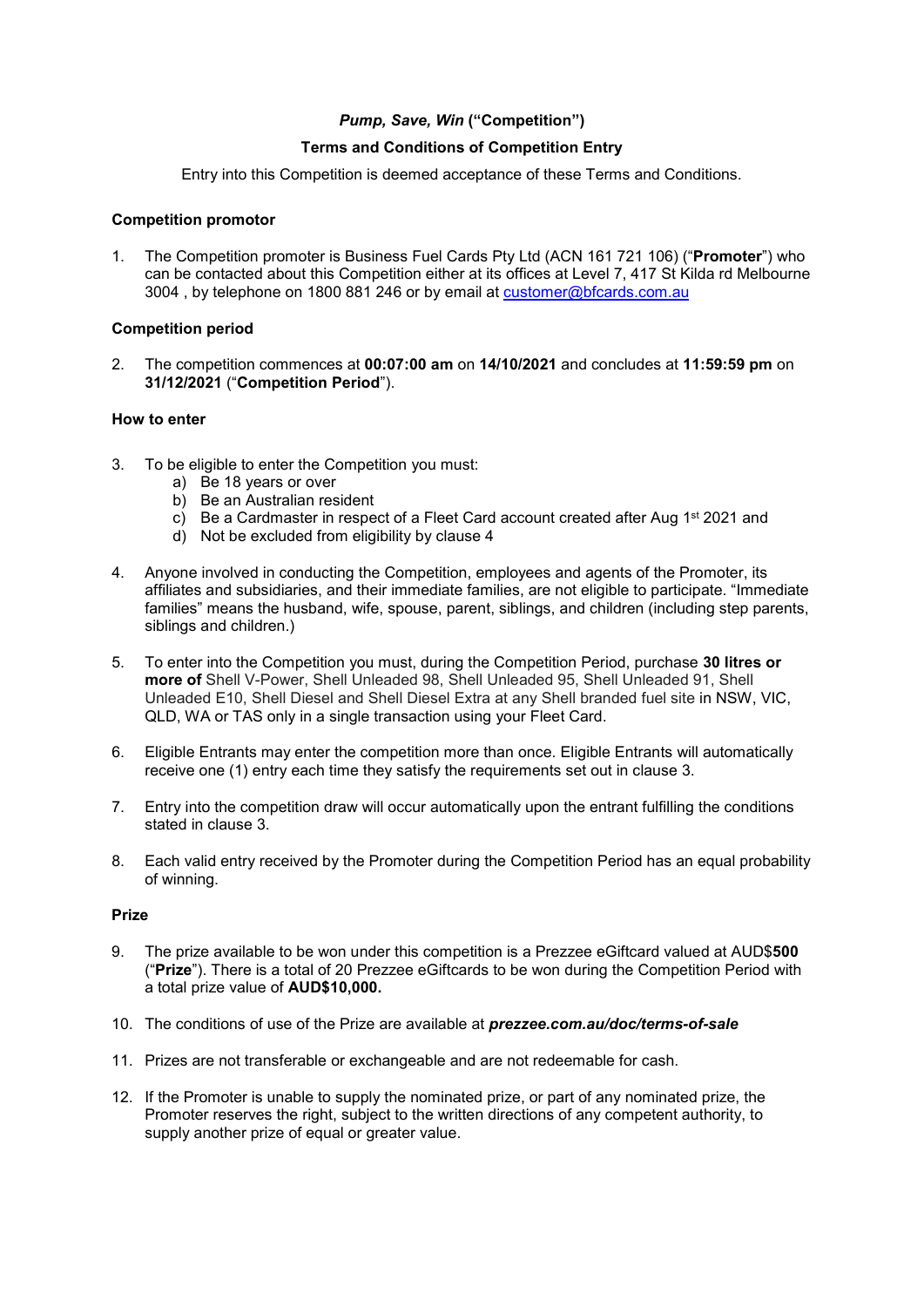# *Pump, Save, Win* **("Competition")**

# **Terms and Conditions of Competition Entry**

Entry into this Competition is deemed acceptance of these Terms and Conditions.

## **Competition promotor**

1. The Competition promoter is Business Fuel Cards Pty Ltd (ACN 161 721 106) ("**Promoter**") who can be contacted about this Competition either at its offices at Level 7, 417 St Kilda rd Melbourne 3004 , by telephone on 1800 881 246 or by email at [customer@bfcards.com.au](mailto:customer@bfcards.com.au)

### **Competition period**

2. The competition commences at **00:07:00 am** on **14/10/2021** and concludes at **11:59:59 pm** on **31/12/2021** ("**Competition Period**").

## **How to enter**

- 3. To be eligible to enter the Competition you must:
	- a) Be 18 years or over
	- b) Be an Australian resident
	- c) Be a Cardmaster in respect of a Fleet Card account created after Aug  $1<sup>st</sup> 2021$  and
	- d) Not be excluded from eligibility by clause 4
- 4. Anyone involved in conducting the Competition, employees and agents of the Promoter, its affiliates and subsidiaries, and their immediate families, are not eligible to participate. "Immediate families" means the husband, wife, spouse, parent, siblings, and children (including step parents, siblings and children.)
- 5. To enter into the Competition you must, during the Competition Period, purchase **30 litres or more of** Shell V-Power, Shell Unleaded 98, Shell Unleaded 95, Shell Unleaded 91, Shell Unleaded E10, Shell Diesel and Shell Diesel Extra at any Shell branded fuel site in NSW, VIC, QLD, WA or TAS only in a single transaction using your Fleet Card.
- 6. Eligible Entrants may enter the competition more than once. Eligible Entrants will automatically receive one (1) entry each time they satisfy the requirements set out in clause 3.
- 7. Entry into the competition draw will occur automatically upon the entrant fulfilling the conditions stated in clause 3.
- 8. Each valid entry received by the Promoter during the Competition Period has an equal probability of winning.

#### **Prize**

- 9. The prize available to be won under this competition is a Prezzee eGiftcard valued at AUD\$**500** ("**Prize**"). There is a total of 20 Prezzee eGiftcards to be won during the Competition Period with a total prize value of **AUD\$10,000.**
- 10. The conditions of use of the Prize are available at *prezzee.com.au/doc/terms-of-sale*
- 11. Prizes are not transferable or exchangeable and are not redeemable for cash.
- 12. If the Promoter is unable to supply the nominated prize, or part of any nominated prize, the Promoter reserves the right, subject to the written directions of any competent authority, to supply another prize of equal or greater value.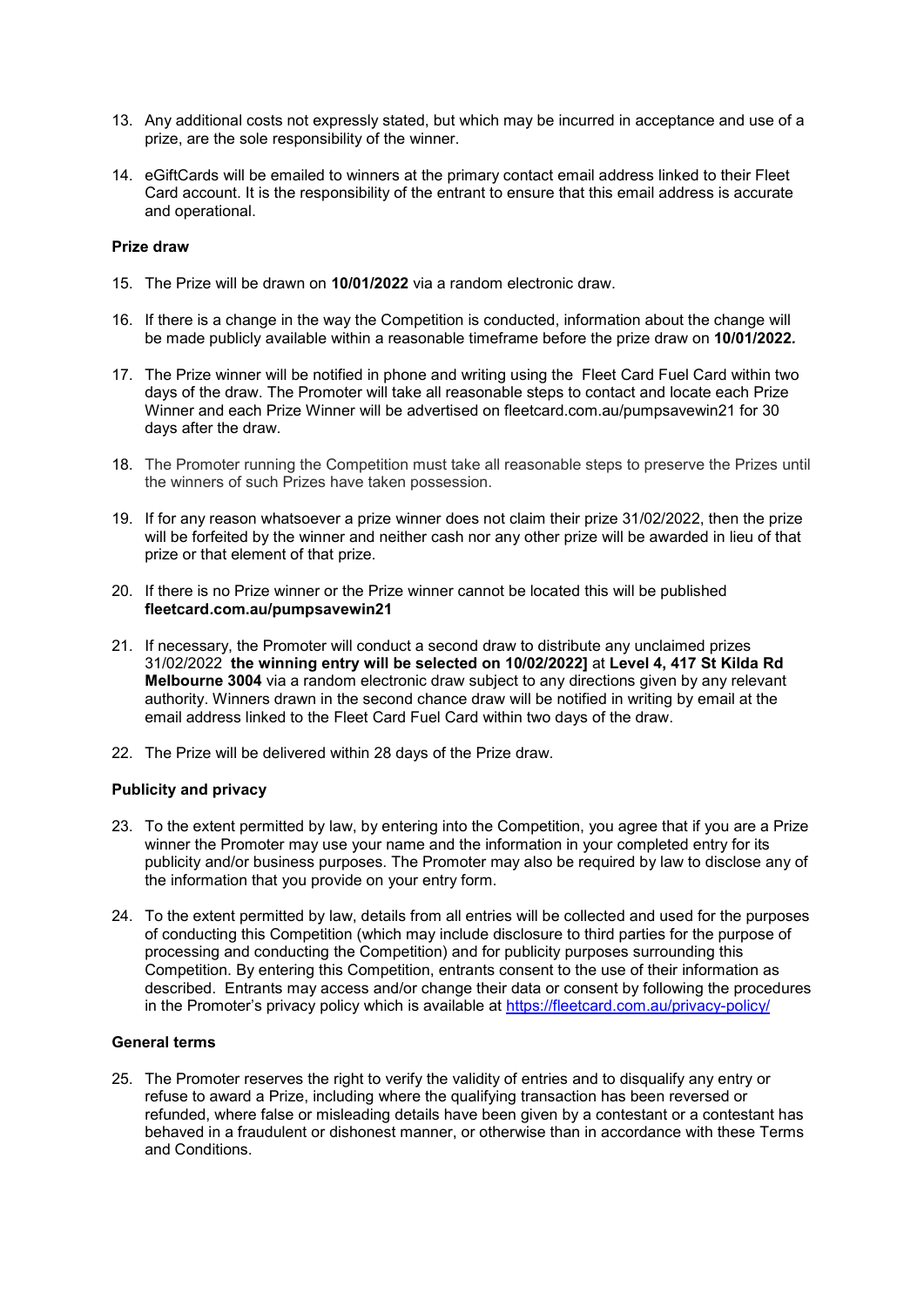- 13. Any additional costs not expressly stated, but which may be incurred in acceptance and use of a prize, are the sole responsibility of the winner.
- 14. eGiftCards will be emailed to winners at the primary contact email address linked to their Fleet Card account. It is the responsibility of the entrant to ensure that this email address is accurate and operational.

## **Prize draw**

- 15. The Prize will be drawn on **10/01/2022** via a random electronic draw.
- 16. If there is a change in the way the Competition is conducted, information about the change will be made publicly available within a reasonable timeframe before the prize draw on **10/01/2022***.*
- 17. The Prize winner will be notified in phone and writing using the Fleet Card Fuel Card within two days of the draw. The Promoter will take all reasonable steps to contact and locate each Prize Winner and each Prize Winner will be advertised on fleetcard.com.au/pumpsavewin21 for 30 days after the draw.
- 18. The Promoter running the Competition must take all reasonable steps to preserve the Prizes until the winners of such Prizes have taken possession.
- 19. If for any reason whatsoever a prize winner does not claim their prize 31/02/2022, then the prize will be forfeited by the winner and neither cash nor any other prize will be awarded in lieu of that prize or that element of that prize.
- 20. If there is no Prize winner or the Prize winner cannot be located this will be published **fleetcard.com.au/pumpsavewin21**
- 21. If necessary, the Promoter will conduct a second draw to distribute any unclaimed prizes 31/02/2022 **the winning entry will be selected on 10/02/2022]** at **Level 4, 417 St Kilda Rd Melbourne 3004** via a random electronic draw subject to any directions given by any relevant authority. Winners drawn in the second chance draw will be notified in writing by email at the email address linked to the Fleet Card Fuel Card within two days of the draw.
- 22. The Prize will be delivered within 28 days of the Prize draw.

#### **Publicity and privacy**

- 23. To the extent permitted by law, by entering into the Competition, you agree that if you are a Prize winner the Promoter may use your name and the information in your completed entry for its publicity and/or business purposes. The Promoter may also be required by law to disclose any of the information that you provide on your entry form.
- 24. To the extent permitted by law, details from all entries will be collected and used for the purposes of conducting this Competition (which may include disclosure to third parties for the purpose of processing and conducting the Competition) and for publicity purposes surrounding this Competition. By entering this Competition, entrants consent to the use of their information as described. Entrants may access and/or change their data or consent by following the procedures in the Promoter's privacy policy which is available at<https://fleetcard.com.au/privacy-policy/>

#### **General terms**

25. The Promoter reserves the right to verify the validity of entries and to disqualify any entry or refuse to award a Prize, including where the qualifying transaction has been reversed or refunded, where false or misleading details have been given by a contestant or a contestant has behaved in a fraudulent or dishonest manner, or otherwise than in accordance with these Terms and Conditions.